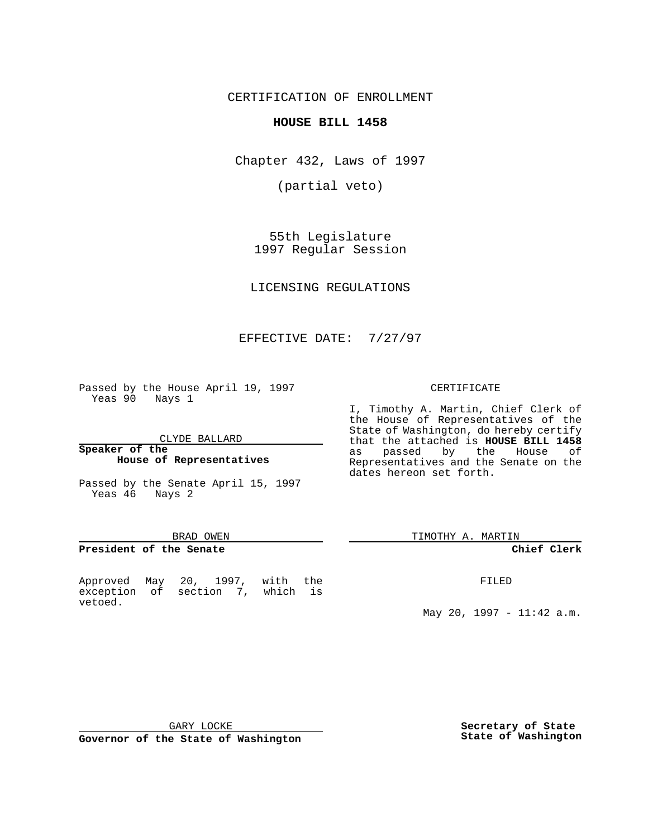CERTIFICATION OF ENROLLMENT

### **HOUSE BILL 1458**

Chapter 432, Laws of 1997

(partial veto)

55th Legislature 1997 Regular Session

LICENSING REGULATIONS

# EFFECTIVE DATE: 7/27/97

Passed by the House April 19, 1997 Yeas 90 Nays 1

CLYDE BALLARD

**Speaker of the House of Representatives**

Passed by the Senate April 15, 1997 Yeas 46 Nays 2

#### BRAD OWEN

### **President of the Senate**

Approved May 20, 1997, with the exception of section 7, which is vetoed.

#### CERTIFICATE

I, Timothy A. Martin, Chief Clerk of the House of Representatives of the State of Washington, do hereby certify that the attached is **HOUSE BILL 1458** as passed by the House of Representatives and the Senate on the dates hereon set forth.

TIMOTHY A. MARTIN

#### **Chief Clerk**

FILED

May 20, 1997 - 11:42 a.m.

GARY LOCKE

**Governor of the State of Washington**

**Secretary of State State of Washington**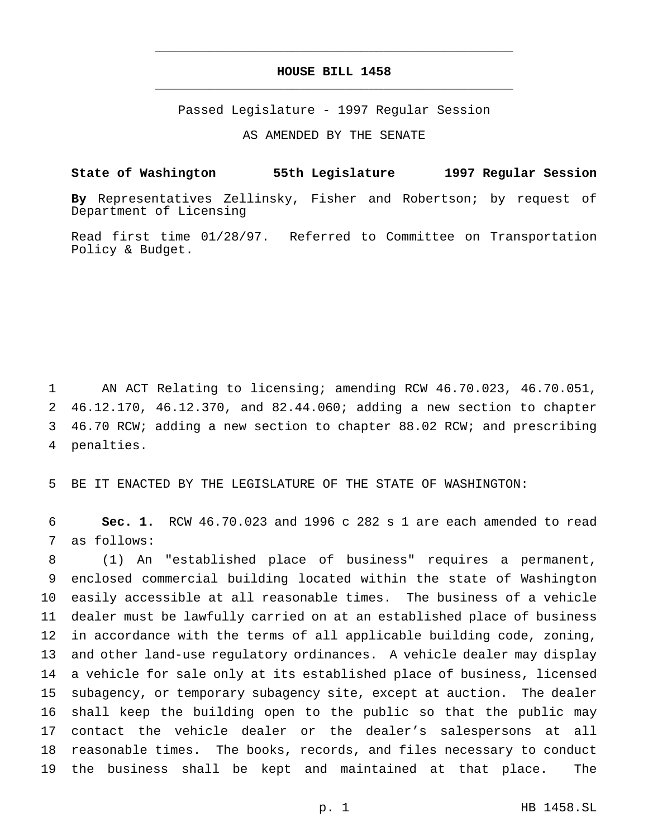## **HOUSE BILL 1458** \_\_\_\_\_\_\_\_\_\_\_\_\_\_\_\_\_\_\_\_\_\_\_\_\_\_\_\_\_\_\_\_\_\_\_\_\_\_\_\_\_\_\_\_\_\_\_

\_\_\_\_\_\_\_\_\_\_\_\_\_\_\_\_\_\_\_\_\_\_\_\_\_\_\_\_\_\_\_\_\_\_\_\_\_\_\_\_\_\_\_\_\_\_\_

Passed Legislature - 1997 Regular Session

AS AMENDED BY THE SENATE

### **State of Washington 55th Legislature 1997 Regular Session**

**By** Representatives Zellinsky, Fisher and Robertson; by request of Department of Licensing

Read first time 01/28/97. Referred to Committee on Transportation Policy & Budget.

 AN ACT Relating to licensing; amending RCW 46.70.023, 46.70.051, 46.12.170, 46.12.370, and 82.44.060; adding a new section to chapter 46.70 RCW; adding a new section to chapter 88.02 RCW; and prescribing penalties.

BE IT ENACTED BY THE LEGISLATURE OF THE STATE OF WASHINGTON:

 **Sec. 1.** RCW 46.70.023 and 1996 c 282 s 1 are each amended to read as follows:

 (1) An "established place of business" requires a permanent, enclosed commercial building located within the state of Washington easily accessible at all reasonable times. The business of a vehicle dealer must be lawfully carried on at an established place of business in accordance with the terms of all applicable building code, zoning, and other land-use regulatory ordinances. A vehicle dealer may display a vehicle for sale only at its established place of business, licensed subagency, or temporary subagency site, except at auction. The dealer shall keep the building open to the public so that the public may contact the vehicle dealer or the dealer's salespersons at all reasonable times. The books, records, and files necessary to conduct the business shall be kept and maintained at that place. The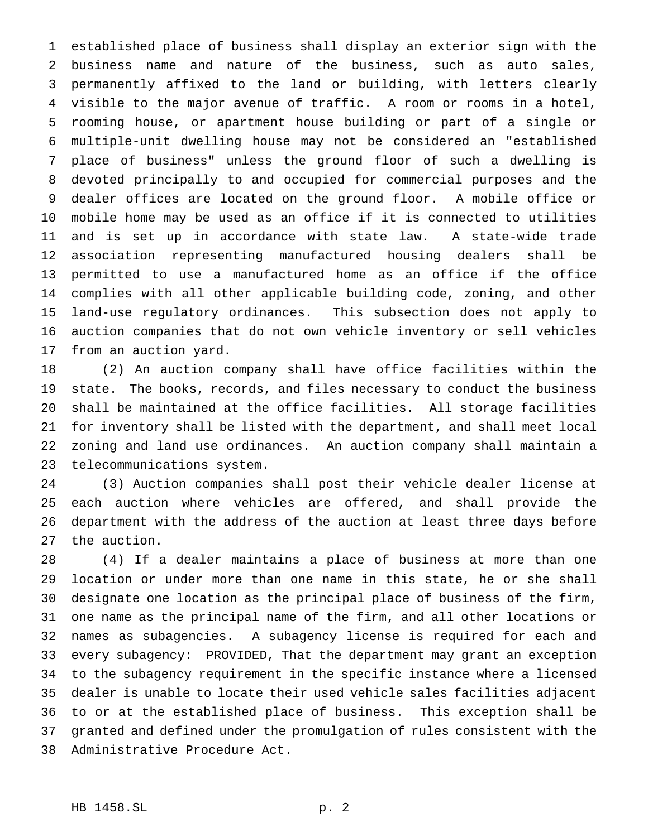established place of business shall display an exterior sign with the business name and nature of the business, such as auto sales, permanently affixed to the land or building, with letters clearly visible to the major avenue of traffic. A room or rooms in a hotel, rooming house, or apartment house building or part of a single or multiple-unit dwelling house may not be considered an "established place of business" unless the ground floor of such a dwelling is devoted principally to and occupied for commercial purposes and the dealer offices are located on the ground floor. A mobile office or mobile home may be used as an office if it is connected to utilities and is set up in accordance with state law. A state-wide trade association representing manufactured housing dealers shall be permitted to use a manufactured home as an office if the office complies with all other applicable building code, zoning, and other land-use regulatory ordinances. This subsection does not apply to auction companies that do not own vehicle inventory or sell vehicles from an auction yard.

 (2) An auction company shall have office facilities within the state. The books, records, and files necessary to conduct the business shall be maintained at the office facilities. All storage facilities for inventory shall be listed with the department, and shall meet local zoning and land use ordinances. An auction company shall maintain a telecommunications system.

 (3) Auction companies shall post their vehicle dealer license at each auction where vehicles are offered, and shall provide the department with the address of the auction at least three days before the auction.

 (4) If a dealer maintains a place of business at more than one location or under more than one name in this state, he or she shall designate one location as the principal place of business of the firm, one name as the principal name of the firm, and all other locations or names as subagencies. A subagency license is required for each and every subagency: PROVIDED, That the department may grant an exception to the subagency requirement in the specific instance where a licensed dealer is unable to locate their used vehicle sales facilities adjacent to or at the established place of business. This exception shall be granted and defined under the promulgation of rules consistent with the Administrative Procedure Act.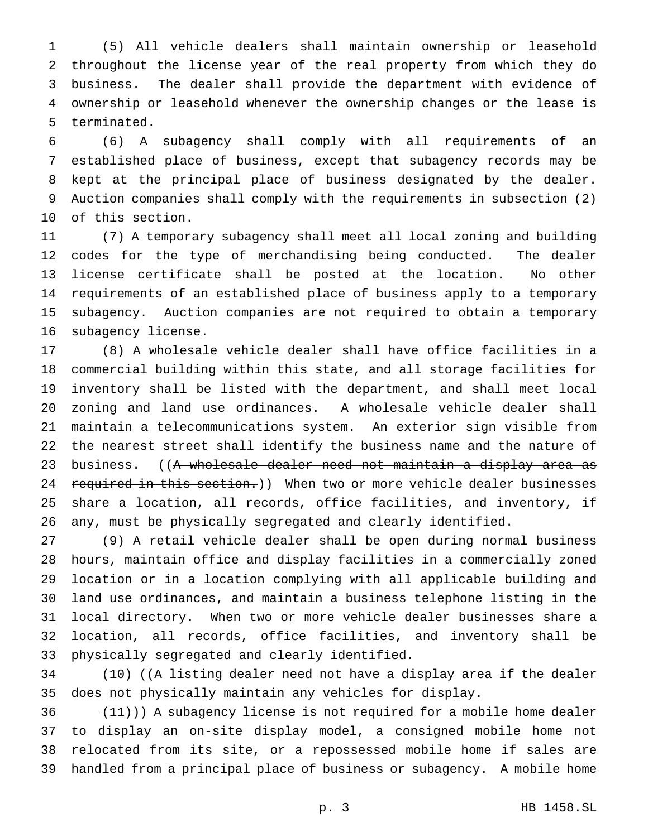(5) All vehicle dealers shall maintain ownership or leasehold throughout the license year of the real property from which they do business. The dealer shall provide the department with evidence of ownership or leasehold whenever the ownership changes or the lease is terminated.

 (6) A subagency shall comply with all requirements of an established place of business, except that subagency records may be kept at the principal place of business designated by the dealer. Auction companies shall comply with the requirements in subsection (2) of this section.

 (7) A temporary subagency shall meet all local zoning and building codes for the type of merchandising being conducted. The dealer license certificate shall be posted at the location. No other requirements of an established place of business apply to a temporary subagency. Auction companies are not required to obtain a temporary subagency license.

 (8) A wholesale vehicle dealer shall have office facilities in a commercial building within this state, and all storage facilities for inventory shall be listed with the department, and shall meet local zoning and land use ordinances. A wholesale vehicle dealer shall maintain a telecommunications system. An exterior sign visible from the nearest street shall identify the business name and the nature of 23 business. ((A wholesale dealer need not maintain a display area as 24 required in this section.)) When two or more vehicle dealer businesses share a location, all records, office facilities, and inventory, if any, must be physically segregated and clearly identified.

 (9) A retail vehicle dealer shall be open during normal business hours, maintain office and display facilities in a commercially zoned location or in a location complying with all applicable building and land use ordinances, and maintain a business telephone listing in the local directory. When two or more vehicle dealer businesses share a location, all records, office facilities, and inventory shall be physically segregated and clearly identified.

 (10) ((A listing dealer need not have a display area if the dealer does not physically maintain any vehicles for display.

  $(11)$ ) A subagency license is not required for a mobile home dealer to display an on-site display model, a consigned mobile home not relocated from its site, or a repossessed mobile home if sales are handled from a principal place of business or subagency. A mobile home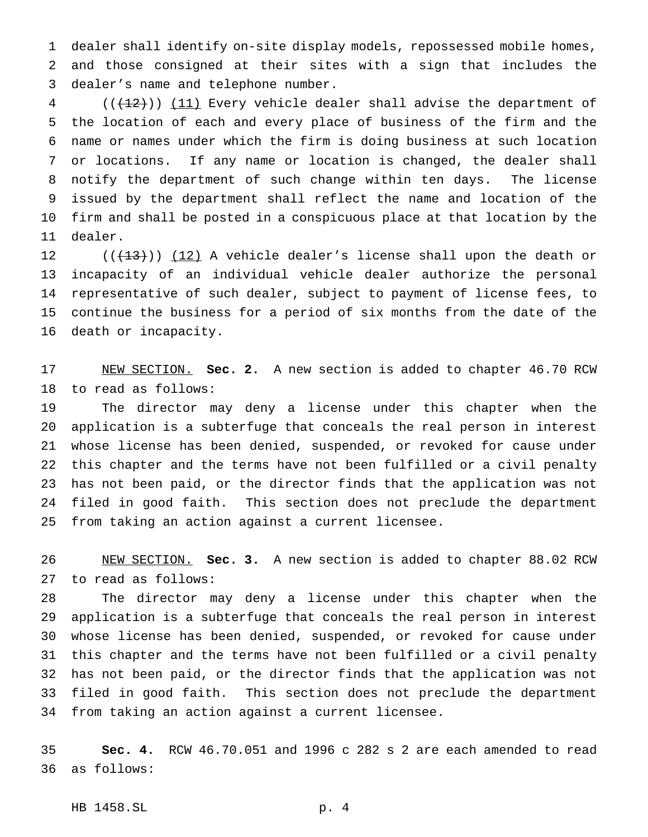dealer shall identify on-site display models, repossessed mobile homes, and those consigned at their sites with a sign that includes the dealer's name and telephone number.

 (( $\left(\frac{12}{12}\right)$ ) (11) Every vehicle dealer shall advise the department of the location of each and every place of business of the firm and the name or names under which the firm is doing business at such location or locations. If any name or location is changed, the dealer shall notify the department of such change within ten days. The license issued by the department shall reflect the name and location of the firm and shall be posted in a conspicuous place at that location by the dealer.

 $((+13))$   $(12)$  A vehicle dealer's license shall upon the death or incapacity of an individual vehicle dealer authorize the personal representative of such dealer, subject to payment of license fees, to continue the business for a period of six months from the date of the death or incapacity.

 NEW SECTION. **Sec. 2.** A new section is added to chapter 46.70 RCW to read as follows:

 The director may deny a license under this chapter when the application is a subterfuge that conceals the real person in interest whose license has been denied, suspended, or revoked for cause under this chapter and the terms have not been fulfilled or a civil penalty has not been paid, or the director finds that the application was not filed in good faith. This section does not preclude the department from taking an action against a current licensee.

 NEW SECTION. **Sec. 3.** A new section is added to chapter 88.02 RCW to read as follows:

 The director may deny a license under this chapter when the application is a subterfuge that conceals the real person in interest whose license has been denied, suspended, or revoked for cause under this chapter and the terms have not been fulfilled or a civil penalty has not been paid, or the director finds that the application was not filed in good faith. This section does not preclude the department from taking an action against a current licensee.

 **Sec. 4.** RCW 46.70.051 and 1996 c 282 s 2 are each amended to read as follows:

HB 1458.SL p. 4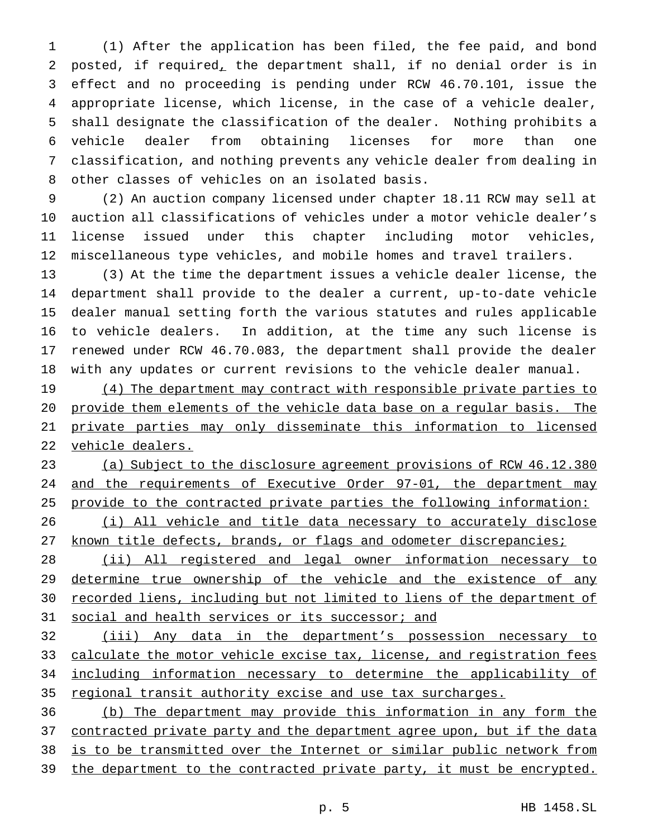(1) After the application has been filed, the fee paid, and bond posted, if required, the department shall, if no denial order is in effect and no proceeding is pending under RCW 46.70.101, issue the appropriate license, which license, in the case of a vehicle dealer, shall designate the classification of the dealer. Nothing prohibits a vehicle dealer from obtaining licenses for more than one classification, and nothing prevents any vehicle dealer from dealing in other classes of vehicles on an isolated basis.

 (2) An auction company licensed under chapter 18.11 RCW may sell at auction all classifications of vehicles under a motor vehicle dealer's license issued under this chapter including motor vehicles, miscellaneous type vehicles, and mobile homes and travel trailers.

 (3) At the time the department issues a vehicle dealer license, the department shall provide to the dealer a current, up-to-date vehicle dealer manual setting forth the various statutes and rules applicable to vehicle dealers. In addition, at the time any such license is renewed under RCW 46.70.083, the department shall provide the dealer with any updates or current revisions to the vehicle dealer manual.

19 (4) The department may contract with responsible private parties to provide them elements of the vehicle data base on a regular basis. The private parties may only disseminate this information to licensed vehicle dealers.

 (a) Subject to the disclosure agreement provisions of RCW 46.12.380 and the requirements of Executive Order 97-01, the department may provide to the contracted private parties the following information:

26 (i) All vehicle and title data necessary to accurately disclose 27 known title defects, brands, or flags and odometer discrepancies;

 (ii) All registered and legal owner information necessary to 29 determine true ownership of the vehicle and the existence of any recorded liens, including but not limited to liens of the department of social and health services or its successor; and

 (iii) Any data in the department's possession necessary to 33 calculate the motor vehicle excise tax, license, and registration fees including information necessary to determine the applicability of regional transit authority excise and use tax surcharges.

 (b) The department may provide this information in any form the 37 contracted private party and the department agree upon, but if the data is to be transmitted over the Internet or similar public network from the department to the contracted private party, it must be encrypted.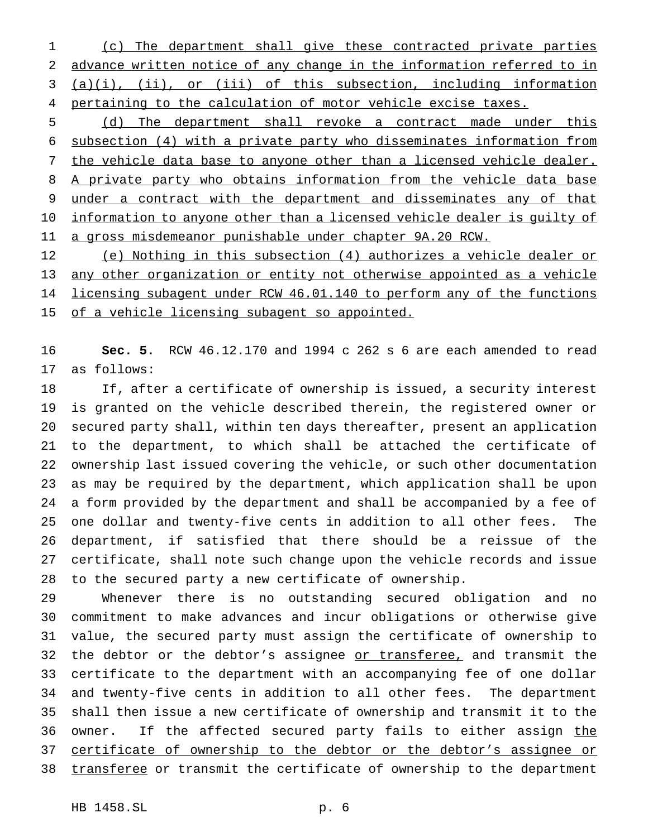(c) The department shall give these contracted private parties advance written notice of any change in the information referred to in (a)(i), (ii), or (iii) of this subsection, including information 4 pertaining to the calculation of motor vehicle excise taxes.

 (d) The department shall revoke a contract made under this subsection (4) with a private party who disseminates information from 7 the vehicle data base to anyone other than a licensed vehicle dealer. 8 A private party who obtains information from the vehicle data base 9 under a contract with the department and disseminates any of that 10 information to anyone other than a licensed vehicle dealer is guilty of a gross misdemeanor punishable under chapter 9A.20 RCW.

 (e) Nothing in this subsection (4) authorizes a vehicle dealer or any other organization or entity not otherwise appointed as a vehicle 14 licensing subagent under RCW 46.01.140 to perform any of the functions 15 of a vehicle licensing subagent so appointed.

 **Sec. 5.** RCW 46.12.170 and 1994 c 262 s 6 are each amended to read as follows:

 If, after a certificate of ownership is issued, a security interest is granted on the vehicle described therein, the registered owner or secured party shall, within ten days thereafter, present an application to the department, to which shall be attached the certificate of ownership last issued covering the vehicle, or such other documentation as may be required by the department, which application shall be upon a form provided by the department and shall be accompanied by a fee of one dollar and twenty-five cents in addition to all other fees. The department, if satisfied that there should be a reissue of the certificate, shall note such change upon the vehicle records and issue to the secured party a new certificate of ownership.

 Whenever there is no outstanding secured obligation and no commitment to make advances and incur obligations or otherwise give value, the secured party must assign the certificate of ownership to 32 the debtor or the debtor's assignee or transferee, and transmit the certificate to the department with an accompanying fee of one dollar and twenty-five cents in addition to all other fees. The department shall then issue a new certificate of ownership and transmit it to the 36 owner. If the affected secured party fails to either assign the certificate of ownership to the debtor or the debtor's assignee or 38 transferee or transmit the certificate of ownership to the department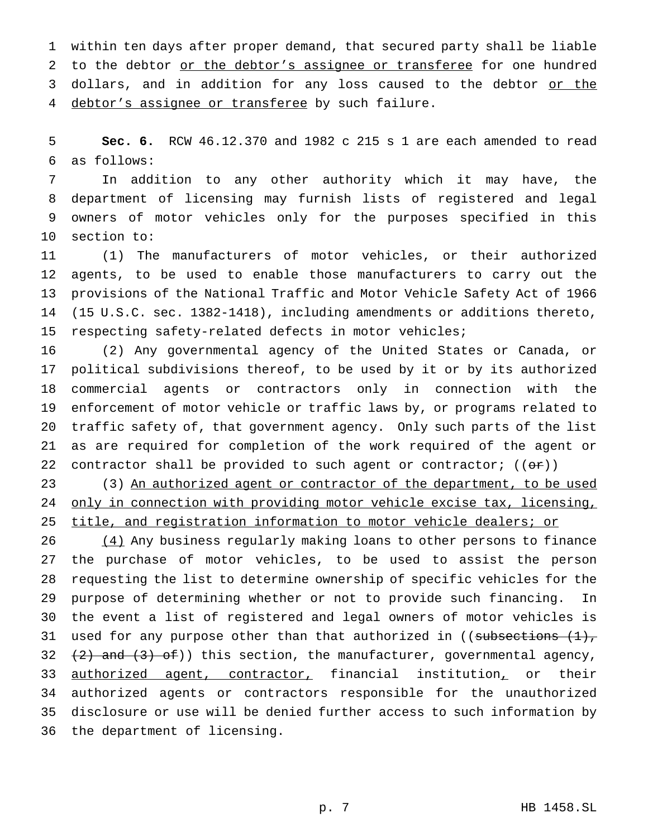within ten days after proper demand, that secured party shall be liable to the debtor or the debtor's assignee or transferee for one hundred 3 dollars, and in addition for any loss caused to the debtor or the 4 debtor's assignee or transferee by such failure.

 **Sec. 6.** RCW 46.12.370 and 1982 c 215 s 1 are each amended to read as follows:

 In addition to any other authority which it may have, the department of licensing may furnish lists of registered and legal owners of motor vehicles only for the purposes specified in this section to:

 (1) The manufacturers of motor vehicles, or their authorized agents, to be used to enable those manufacturers to carry out the provisions of the National Traffic and Motor Vehicle Safety Act of 1966 (15 U.S.C. sec. 1382-1418), including amendments or additions thereto, respecting safety-related defects in motor vehicles;

 (2) Any governmental agency of the United States or Canada, or political subdivisions thereof, to be used by it or by its authorized commercial agents or contractors only in connection with the enforcement of motor vehicle or traffic laws by, or programs related to traffic safety of, that government agency. Only such parts of the list as are required for completion of the work required of the agent or 22 contractor shall be provided to such agent or contractor;  $((\theta \cdot \tau))$ 

23 (3) An authorized agent or contractor of the department, to be used only in connection with providing motor vehicle excise tax, licensing, 25 title, and registration information to motor vehicle dealers; or

 (4) Any business regularly making loans to other persons to finance the purchase of motor vehicles, to be used to assist the person requesting the list to determine ownership of specific vehicles for the purpose of determining whether or not to provide such financing. In the event a list of registered and legal owners of motor vehicles is 31 used for any purpose other than that authorized in ((subsections  $(1)$ ,  $(2)$  and  $(3)$  of)) this section, the manufacturer, governmental agency, 33 authorized agent, contractor, financial institution, or their authorized agents or contractors responsible for the unauthorized disclosure or use will be denied further access to such information by the department of licensing.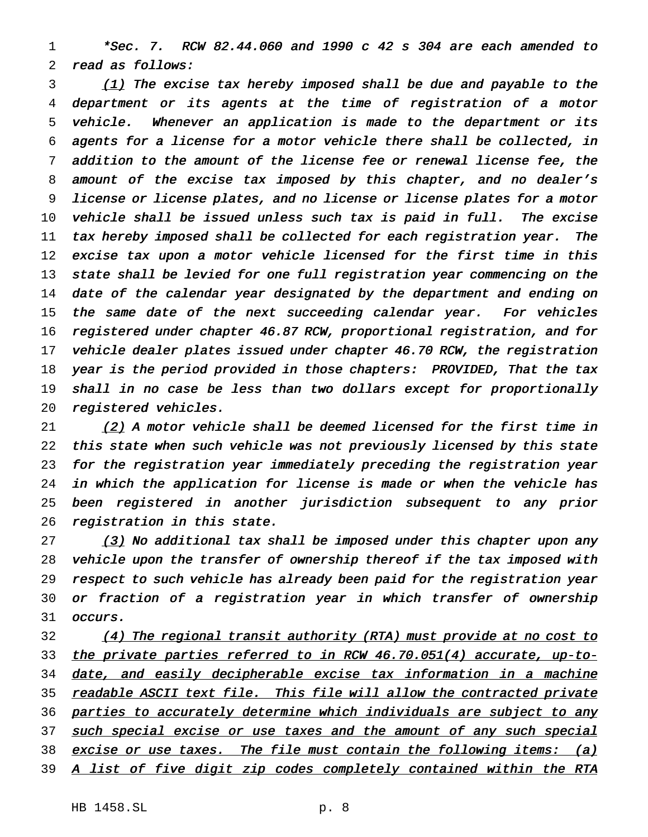\*Sec. 7. RCW 82.44.060 and <sup>1990</sup> <sup>c</sup> <sup>42</sup> <sup>s</sup> <sup>304</sup> are each amended to read as follows:

3 (1) The excise tax hereby imposed shall be due and payable to the department or its agents at the time of registration of <sup>a</sup> motor vehicle. Whenever an application is made to the department or its agents for <sup>a</sup> license for <sup>a</sup> motor vehicle there shall be collected, in addition to the amount of the license fee or renewal license fee, the amount of the excise tax imposed by this chapter, and no dealer's license or license plates, and no license or license plates for <sup>a</sup> motor vehicle shall be issued unless such tax is paid in full. The excise tax hereby imposed shall be collected for each registration year. The excise tax upon <sup>a</sup> motor vehicle licensed for the first time in this state shall be levied for one full registration year commencing on the 14 date of the calendar year designated by the department and ending on 15 the same date of the next succeeding calendar year. For vehicles registered under chapter 46.87 RCW, proportional registration, and for vehicle dealer plates issued under chapter 46.70 RCW, the registration year is the period provided in those chapters: PROVIDED, That the tax 19 shall in no case be less than two dollars except for proportionally registered vehicles.

21 (2) A motor vehicle shall be deemed licensed for the first time in this state when such vehicle was not previously licensed by this state for the registration year immediately preceding the registration year in which the application for license is made or when the vehicle has been registered in another jurisdiction subsequent to any prior registration in this state.

 (3) No additional tax shall be imposed under this chapter upon any vehicle upon the transfer of ownership thereof if the tax imposed with respect to such vehicle has already been paid for the registration year or fraction of <sup>a</sup> registration year in which transfer of ownership occurs.

32 (4) The regional transit authority (RTA) must provide at no cost to 33 the private parties referred to in RCW 46.70.051(4) accurate, up-to-34 date, and easily decipherable excise tax information in a machine 35 readable ASCII text file. This file will allow the contracted private 36 parties to accurately determine which individuals are subject to any 37 such special excise or use taxes and the amount of any such special 38 excise or use taxes. The file must contain the following items: (a) 39 A list of five digit zip codes completely contained within the RTA